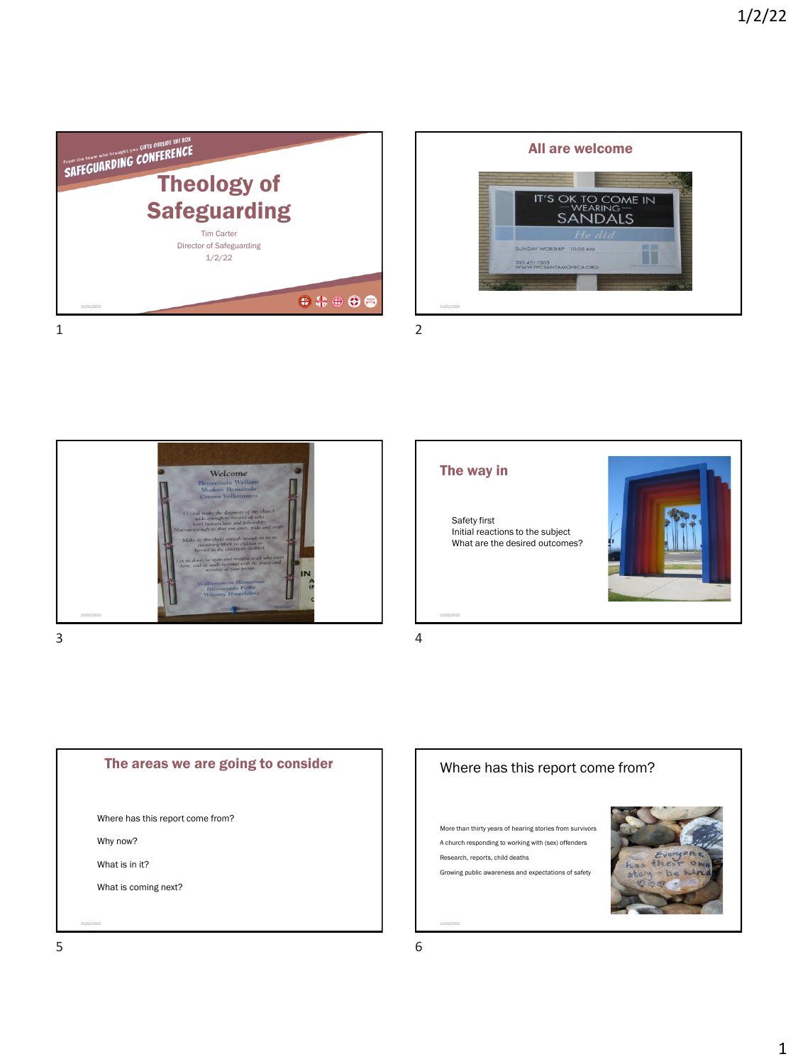









Safety first Initial reactions to the subject What are the desired outcomes?





## Where has this report come from?

More than thirty years of hearing stories from survivors A church responding to working with (sex) offenders Research, reports, child deaths Growing public awareness and expectations of safety

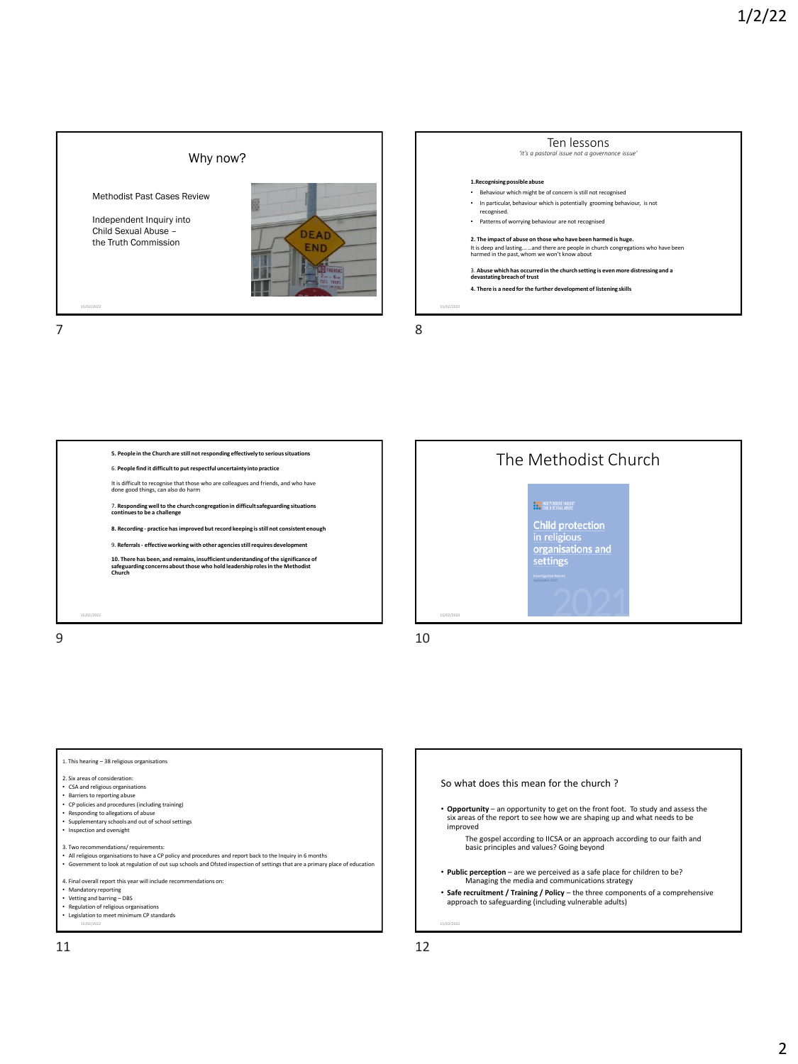















• **Opportunity** – an opportunity to get on the front foot. To study and assess the six areas of the report to see how we are shaping up and what needs to be improved

The gospel according to IICSA or an approach according to our faith and basic principles and values? Going beyond

- **Public perception** are we perceived as a safe place for children to be? Managing the media and communications strategy
- **Safe recruitment / Training / Policy**  the three components of a comprehensive approach to safeguarding (including vulnerable adults)